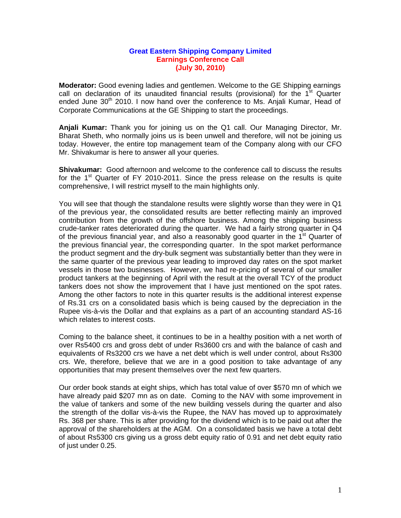## **Great Eastern Shipping Company Limited Earnings Conference Call (July 30, 2010)**

**Moderator:** Good evening ladies and gentlemen. Welcome to the GE Shipping earnings call on declaration of its unaudited financial results (provisional) for the  $1<sup>st</sup>$  Quarter ended June 30<sup>th</sup> 2010. I now hand over the conference to Ms. Anjali Kumar, Head of Corporate Communications at the GE Shipping to start the proceedings.

**Anjali Kumar:** Thank you for joining us on the Q1 call. Our Managing Director, Mr. Bharat Sheth, who normally joins us is been unwell and therefore, will not be joining us today. However, the entire top management team of the Company along with our CFO Mr. Shivakumar is here to answer all your queries.

**Shivakumar:** Good afternoon and welcome to the conference call to discuss the results for the 1<sup>st</sup> Quarter of FY 2010-2011. Since the press release on the results is quite comprehensive, I will restrict myself to the main highlights only.

You will see that though the standalone results were slightly worse than they were in Q1 of the previous year, the consolidated results are better reflecting mainly an improved contribution from the growth of the offshore business. Among the shipping business crude-tanker rates deteriorated during the quarter. We had a fairly strong quarter in Q4 of the previous financial year, and also a reasonably good quarter in the  $1<sup>st</sup>$  Quarter of the previous financial year, the corresponding quarter. In the spot market performance the product segment and the dry-bulk segment was substantially better than they were in the same quarter of the previous year leading to improved day rates on the spot market vessels in those two businesses. However, we had re-pricing of several of our smaller product tankers at the beginning of April with the result at the overall TCY of the product tankers does not show the improvement that I have just mentioned on the spot rates. Among the other factors to note in this quarter results is the additional interest expense of Rs.31 crs on a consolidated basis which is being caused by the depreciation in the Rupee vis-à-vis the Dollar and that explains as a part of an accounting standard AS-16 which relates to interest costs.

Coming to the balance sheet, it continues to be in a healthy position with a net worth of over Rs5400 crs and gross debt of under Rs3600 crs and with the balance of cash and equivalents of Rs3200 crs we have a net debt which is well under control, about Rs300 crs. We, therefore, believe that we are in a good position to take advantage of any opportunities that may present themselves over the next few quarters.

Our order book stands at eight ships, which has total value of over \$570 mn of which we have already paid \$207 mn as on date. Coming to the NAV with some improvement in the value of tankers and some of the new building vessels during the quarter and also the strength of the dollar vis-à-vis the Rupee, the NAV has moved up to approximately Rs. 368 per share. This is after providing for the dividend which is to be paid out after the approval of the shareholders at the AGM. On a consolidated basis we have a total debt of about Rs5300 crs giving us a gross debt equity ratio of 0.91 and net debt equity ratio of just under 0.25.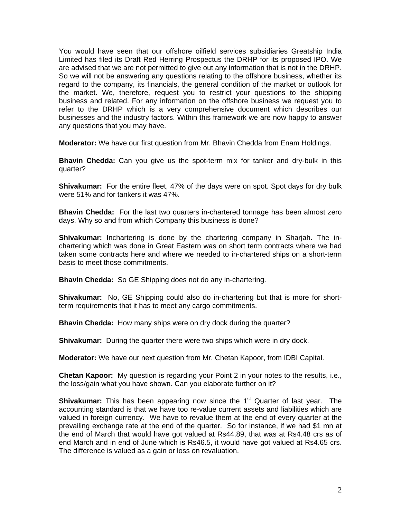You would have seen that our offshore oilfield services subsidiaries Greatship India Limited has filed its Draft Red Herring Prospectus the DRHP for its proposed IPO. We are advised that we are not permitted to give out any information that is not in the DRHP. So we will not be answering any questions relating to the offshore business, whether its regard to the company, its financials, the general condition of the market or outlook for the market. We, therefore, request you to restrict your questions to the shipping business and related. For any information on the offshore business we request you to refer to the DRHP which is a very comprehensive document which describes our businesses and the industry factors. Within this framework we are now happy to answer any questions that you may have.

**Moderator:** We have our first question from Mr. Bhavin Chedda from Enam Holdings.

**Bhavin Chedda:** Can you give us the spot-term mix for tanker and dry-bulk in this quarter?

**Shivakumar:** For the entire fleet, 47% of the days were on spot. Spot days for dry bulk were 51% and for tankers it was 47%.

**Bhavin Chedda:** For the last two quarters in-chartered tonnage has been almost zero days. Why so and from which Company this business is done?

**Shivakumar:** Inchartering is done by the chartering company in Sharjah. The inchartering which was done in Great Eastern was on short term contracts where we had taken some contracts here and where we needed to in-chartered ships on a short-term basis to meet those commitments.

**Bhavin Chedda:** So GE Shipping does not do any in-chartering.

**Shivakumar:** No, GE Shipping could also do in-chartering but that is more for shortterm requirements that it has to meet any cargo commitments.

**Bhavin Chedda:** How many ships were on dry dock during the quarter?

**Shivakumar:** During the quarter there were two ships which were in dry dock.

**Moderator:** We have our next question from Mr. Chetan Kapoor, from IDBI Capital.

**Chetan Kapoor:** My question is regarding your Point 2 in your notes to the results, i.e., the loss/gain what you have shown. Can you elaborate further on it?

**Shivakumar:** This has been appearing now since the 1<sup>st</sup> Quarter of last year. The accounting standard is that we have too re-value current assets and liabilities which are valued in foreign currency. We have to revalue them at the end of every quarter at the prevailing exchange rate at the end of the quarter. So for instance, if we had \$1 mn at the end of March that would have got valued at Rs44.89, that was at Rs4.48 crs as of end March and in end of June which is Rs46.5, it would have got valued at Rs4.65 crs. The difference is valued as a gain or loss on revaluation.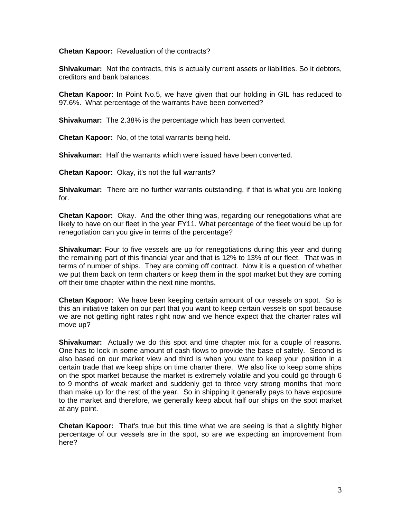**Chetan Kapoor:** Revaluation of the contracts?

**Shivakumar:** Not the contracts, this is actually current assets or liabilities. So it debtors, creditors and bank balances.

**Chetan Kapoor:** In Point No.5, we have given that our holding in GIL has reduced to 97.6%.What percentage of the warrants have been converted?

**Shivakumar:** The 2.38% is the percentage which has been converted.

**Chetan Kapoor:** No, of the total warrants being held.

**Shivakumar:** Half the warrants which were issued have been converted.

**Chetan Kapoor:** Okay, it's not the full warrants?

**Shivakumar:** There are no further warrants outstanding, if that is what you are looking for.

**Chetan Kapoor:** Okay. And the other thing was, regarding our renegotiations what are likely to have on our fleet in the year FY11. What percentage of the fleet would be up for renegotiation can you give in terms of the percentage?

**Shivakumar:** Four to five vessels are up for renegotiations during this year and during the remaining part of this financial year and that is 12% to 13% of our fleet. That was in terms of number of ships. They are coming off contract. Now it is a question of whether we put them back on term charters or keep them in the spot market but they are coming off their time chapter within the next nine months.

**Chetan Kapoor:** We have been keeping certain amount of our vessels on spot. So is this an initiative taken on our part that you want to keep certain vessels on spot because we are not getting right rates right now and we hence expect that the charter rates will move up?

**Shivakumar:** Actually we do this spot and time chapter mix for a couple of reasons. One has to lock in some amount of cash flows to provide the base of safety. Second is also based on our market view and third is when you want to keep your position in a certain trade that we keep ships on time charter there. We also like to keep some ships on the spot market because the market is extremely volatile and you could go through 6 to 9 months of weak market and suddenly get to three very strong months that more than make up for the rest of the year. So in shipping it generally pays to have exposure to the market and therefore, we generally keep about half our ships on the spot market at any point.

**Chetan Kapoor:** That's true but this time what we are seeing is that a slightly higher percentage of our vessels are in the spot, so are we expecting an improvement from here?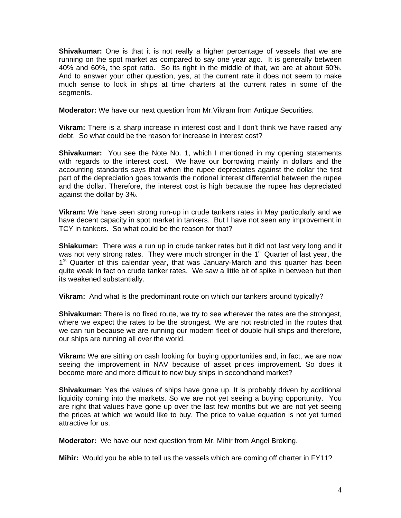**Shivakumar:** One is that it is not really a higher percentage of vessels that we are running on the spot market as compared to say one year ago. It is generally between 40% and 60%, the spot ratio. So its right in the middle of that, we are at about 50%. And to answer your other question, yes, at the current rate it does not seem to make much sense to lock in ships at time charters at the current rates in some of the segments.

**Moderator:** We have our next question from Mr.Vikram from Antique Securities.

**Vikram:** There is a sharp increase in interest cost and I don't think we have raised any debt. So what could be the reason for increase in interest cost?

**Shivakumar:** You see the Note No. 1, which I mentioned in my opening statements with regards to the interest cost. We have our borrowing mainly in dollars and the accounting standards says that when the rupee depreciates against the dollar the first part of the depreciation goes towards the notional interest differential between the rupee and the dollar. Therefore, the interest cost is high because the rupee has depreciated against the dollar by 3%.

**Vikram:** We have seen strong run-up in crude tankers rates in May particularly and we have decent capacity in spot market in tankers. But I have not seen any improvement in TCY in tankers. So what could be the reason for that?

**Shiakumar:** There was a run up in crude tanker rates but it did not last very long and it was not very strong rates. They were much stronger in the 1<sup>st</sup> Quarter of last year, the 1<sup>st</sup> Quarter of this calendar year, that was January-March and this quarter has been quite weak in fact on crude tanker rates. We saw a little bit of spike in between but then its weakened substantially.

**Vikram:** And what is the predominant route on which our tankers around typically?

**Shivakumar:** There is no fixed route, we try to see wherever the rates are the strongest, where we expect the rates to be the strongest. We are not restricted in the routes that we can run because we are running our modern fleet of double hull ships and therefore, our ships are running all over the world.

**Vikram:** We are sitting on cash looking for buying opportunities and, in fact, we are now seeing the improvement in NAV because of asset prices improvement. So does it become more and more difficult to now buy ships in secondhand market?

**Shivakumar:** Yes the values of ships have gone up. It is probably driven by additional liquidity coming into the markets. So we are not yet seeing a buying opportunity. You are right that values have gone up over the last few months but we are not yet seeing the prices at which we would like to buy. The price to value equation is not yet turned attractive for us.

**Moderator:** We have our next question from Mr. Mihir from Angel Broking.

**Mihir:** Would you be able to tell us the vessels which are coming off charter in FY11?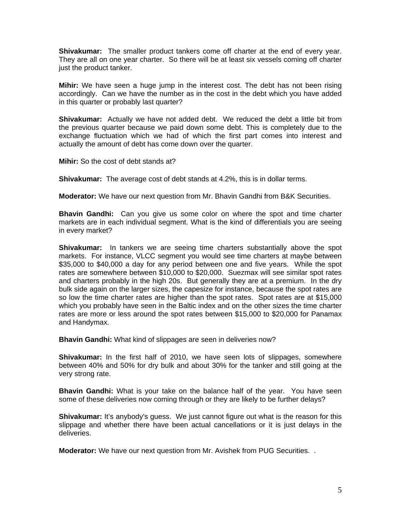**Shivakumar:** The smaller product tankers come off charter at the end of every year. They are all on one year charter. So there will be at least six vessels coming off charter just the product tanker.

**Mihir:** We have seen a huge jump in the interest cost. The debt has not been rising accordingly. Can we have the number as in the cost in the debt which you have added in this quarter or probably last quarter?

**Shivakumar:** Actually we have not added debt. We reduced the debt a little bit from the previous quarter because we paid down some debt. This is completely due to the exchange fluctuation which we had of which the first part comes into interest and actually the amount of debt has come down over the quarter.

**Mihir:** So the cost of debt stands at?

**Shivakumar:** The average cost of debt stands at 4.2%, this is in dollar terms.

**Moderator:** We have our next question from Mr. Bhavin Gandhi from B&K Securities.

**Bhavin Gandhi:** Can you give us some color on where the spot and time charter markets are in each individual segment. What is the kind of differentials you are seeing in every market?

**Shivakumar:** In tankers we are seeing time charters substantially above the spot markets. For instance, VLCC segment you would see time charters at maybe between \$35,000 to \$40,000 a day for any period between one and five years. While the spot rates are somewhere between \$10,000 to \$20,000. Suezmax will see similar spot rates and charters probably in the high 20s. But generally they are at a premium. In the dry bulk side again on the larger sizes, the capesize for instance, because the spot rates are so low the time charter rates are higher than the spot rates. Spot rates are at \$15,000 which you probably have seen in the Baltic index and on the other sizes the time charter rates are more or less around the spot rates between \$15,000 to \$20,000 for Panamax and Handymax.

**Bhavin Gandhi:** What kind of slippages are seen in deliveries now?

**Shivakumar:** In the first half of 2010, we have seen lots of slippages, somewhere between 40% and 50% for dry bulk and about 30% for the tanker and still going at the very strong rate.

**Bhavin Gandhi:** What is your take on the balance half of the year. You have seen some of these deliveries now coming through or they are likely to be further delays?

**Shivakumar:** It's anybody's guess. We just cannot figure out what is the reason for this slippage and whether there have been actual cancellations or it is just delays in the deliveries.

**Moderator:** We have our next question from Mr. Avishek from PUG Securities. .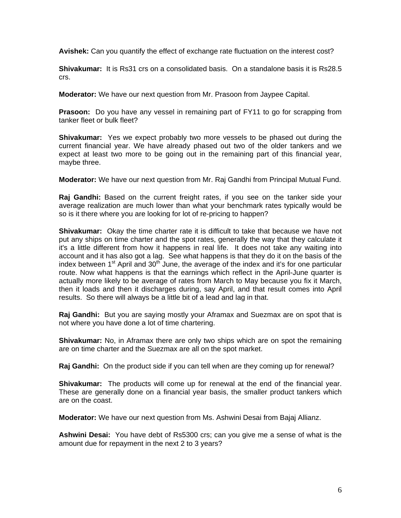**Avishek:** Can you quantify the effect of exchange rate fluctuation on the interest cost?

**Shivakumar:** It is Rs31 crs on a consolidated basis. On a standalone basis it is Rs28.5 crs.

**Moderator:** We have our next question from Mr. Prasoon from Jaypee Capital.

**Prasoon:** Do you have any vessel in remaining part of FY11 to go for scrapping from tanker fleet or bulk fleet?

**Shivakumar:** Yes we expect probably two more vessels to be phased out during the current financial year. We have already phased out two of the older tankers and we expect at least two more to be going out in the remaining part of this financial year, maybe three.

**Moderator:** We have our next question from Mr. Raj Gandhi from Principal Mutual Fund.

**Raj Gandhi:** Based on the current freight rates, if you see on the tanker side your average realization are much lower than what your benchmark rates typically would be so is it there where you are looking for lot of re-pricing to happen?

**Shivakumar:** Okay the time charter rate it is difficult to take that because we have not put any ships on time charter and the spot rates, generally the way that they calculate it it's a little different from how it happens in real life. It does not take any waiting into account and it has also got a lag. See what happens is that they do it on the basis of the index between 1<sup>st</sup> April and 30<sup>th</sup> June, the average of the index and it's for one particular route. Now what happens is that the earnings which reflect in the April-June quarter is actually more likely to be average of rates from March to May because you fix it March, then it loads and then it discharges during, say April, and that result comes into April results. So there will always be a little bit of a lead and lag in that.

**Raj Gandhi:** But you are saying mostly your Aframax and Suezmax are on spot that is not where you have done a lot of time chartering.

**Shivakumar:** No, in Aframax there are only two ships which are on spot the remaining are on time charter and the Suezmax are all on the spot market.

**Raj Gandhi:** On the product side if you can tell when are they coming up for renewal?

**Shivakumar:** The products will come up for renewal at the end of the financial year. These are generally done on a financial year basis, the smaller product tankers which are on the coast.

**Moderator:** We have our next question from Ms. Ashwini Desai from Bajaj Allianz.

**Ashwini Desai:** You have debt of Rs5300 crs; can you give me a sense of what is the amount due for repayment in the next 2 to 3 years?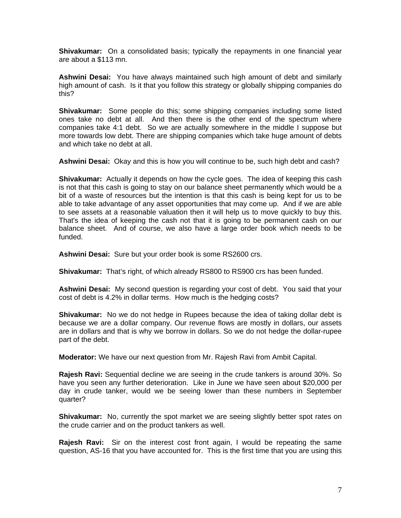**Shivakumar:** On a consolidated basis; typically the repayments in one financial year are about a \$113 mn.

**Ashwini Desai:** You have always maintained such high amount of debt and similarly high amount of cash. Is it that you follow this strategy or globally shipping companies do this?

**Shivakumar:** Some people do this; some shipping companies including some listed ones take no debt at all. And then there is the other end of the spectrum where companies take 4:1 debt. So we are actually somewhere in the middle I suppose but more towards low debt. There are shipping companies which take huge amount of debts and which take no debt at all.

**Ashwini Desai:** Okay and this is how you will continue to be, such high debt and cash?

**Shivakumar:** Actually it depends on how the cycle goes. The idea of keeping this cash is not that this cash is going to stay on our balance sheet permanently which would be a bit of a waste of resources but the intention is that this cash is being kept for us to be able to take advantage of any asset opportunities that may come up. And if we are able to see assets at a reasonable valuation then it will help us to move quickly to buy this. That's the idea of keeping the cash not that it is going to be permanent cash on our balance sheet. And of course, we also have a large order book which needs to be funded.

**Ashwini Desai:** Sure but your order book is some RS2600 crs.

**Shivakumar:** That's right, of which already RS800 to RS900 crs has been funded.

**Ashwini Desai:** My second question is regarding your cost of debt. You said that your cost of debt is 4.2% in dollar terms. How much is the hedging costs?

**Shivakumar:** No we do not hedge in Rupees because the idea of taking dollar debt is because we are a dollar company. Our revenue flows are mostly in dollars, our assets are in dollars and that is why we borrow in dollars. So we do not hedge the dollar-rupee part of the debt.

**Moderator:** We have our next question from Mr. Rajesh Ravi from Ambit Capital.

**Rajesh Ravi:** Sequential decline we are seeing in the crude tankers is around 30%. So have you seen any further deterioration. Like in June we have seen about \$20,000 per day in crude tanker, would we be seeing lower than these numbers in September quarter?

**Shivakumar:** No, currently the spot market we are seeing slightly better spot rates on the crude carrier and on the product tankers as well.

**Rajesh Ravi:** Sir on the interest cost front again, I would be repeating the same question, AS-16 that you have accounted for. This is the first time that you are using this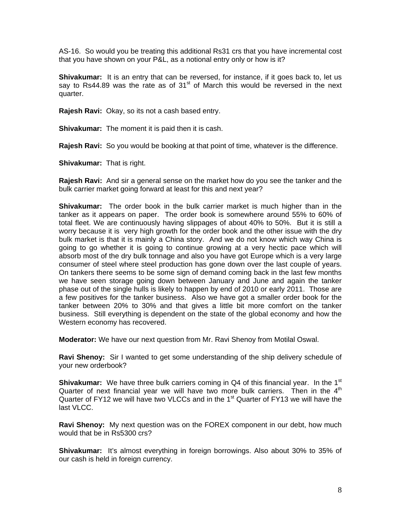AS-16. So would you be treating this additional Rs31 crs that you have incremental cost that you have shown on your P&L, as a notional entry only or how is it?

**Shivakumar:** It is an entry that can be reversed, for instance, if it goes back to, let us say to Rs44.89 was the rate as of  $31<sup>st</sup>$  of March this would be reversed in the next quarter.

**Rajesh Ravi:** Okay, so its not a cash based entry.

**Shivakumar:** The moment it is paid then it is cash.

**Rajesh Ravi:** So you would be booking at that point of time, whatever is the difference.

**Shivakumar:** That is right.

**Rajesh Ravi:** And sir a general sense on the market how do you see the tanker and the bulk carrier market going forward at least for this and next year?

**Shivakumar:** The order book in the bulk carrier market is much higher than in the tanker as it appears on paper. The order book is somewhere around 55% to 60% of total fleet. We are continuously having slippages of about 40% to 50%. But it is still a worry because it is very high growth for the order book and the other issue with the dry bulk market is that it is mainly a China story. And we do not know which way China is going to go whether it is going to continue growing at a very hectic pace which will absorb most of the dry bulk tonnage and also you have got Europe which is a very large consumer of steel where steel production has gone down over the last couple of years. On tankers there seems to be some sign of demand coming back in the last few months we have seen storage going down between January and June and again the tanker phase out of the single hulls is likely to happen by end of 2010 or early 2011. Those are a few positives for the tanker business. Also we have got a smaller order book for the tanker between 20% to 30% and that gives a little bit more comfort on the tanker business. Still everything is dependent on the state of the global economy and how the Western economy has recovered.

**Moderator:** We have our next question from Mr. Ravi Shenoy from Motilal Oswal.

**Ravi Shenoy:** Sir I wanted to get some understanding of the ship delivery schedule of your new orderbook?

**Shivakumar:** We have three bulk carriers coming in Q4 of this financial year. In the 1<sup>st</sup> Quarter of next financial year we will have two more bulk carriers. Then in the  $4<sup>th</sup>$ Quarter of FY12 we will have two VLCCs and in the 1<sup>st</sup> Quarter of FY13 we will have the last VLCC.

**Ravi Shenoy:** My next question was on the FOREX component in our debt, how much would that be in Rs5300 crs?

**Shivakumar:** It's almost everything in foreign borrowings. Also about 30% to 35% of our cash is held in foreign currency.